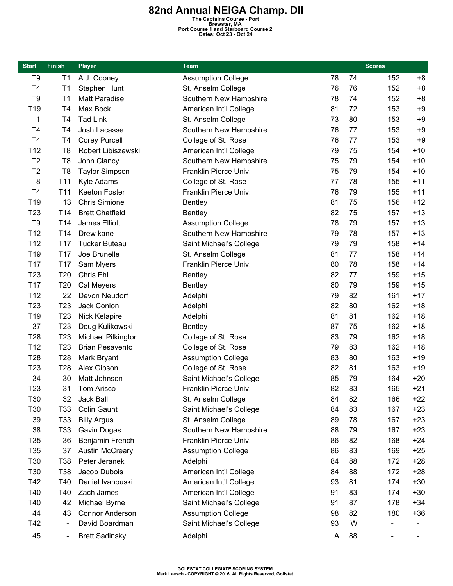## **82nd Annual NEIGA Champ. DII**<br>
The Captains Course - Port<br> **Brewster, MA**<br>
Port Course 1 and Starboard Course 2<br>
Dates: Oct 23 - Oct 24

| <b>Start</b>    | <b>Finish</b>   | <b>Player</b>          | Team                      |    |    | <b>Scores</b> |       |
|-----------------|-----------------|------------------------|---------------------------|----|----|---------------|-------|
| T <sub>9</sub>  | T1              | A.J. Cooney            | <b>Assumption College</b> | 78 | 74 | 152           | $+8$  |
| T <sub>4</sub>  | T <sub>1</sub>  | Stephen Hunt           | St. Anselm College        | 76 | 76 | 152           | $+8$  |
| T <sub>9</sub>  | T1              | Matt Paradise          | Southern New Hampshire    | 78 | 74 | 152           | $+8$  |
| T <sub>19</sub> | T <sub>4</sub>  | Max Bock               | American Int'l College    | 81 | 72 | 153           | $+9$  |
| 1               | T <sub>4</sub>  | <b>Tad Link</b>        | St. Anselm College        | 73 | 80 | 153           | $+9$  |
| T <sub>4</sub>  | T <sub>4</sub>  | Josh Lacasse           | Southern New Hampshire    | 76 | 77 | 153           | $+9$  |
| T <sub>4</sub>  | T4              | <b>Corey Purcell</b>   | College of St. Rose       | 76 | 77 | 153           | $+9$  |
| T <sub>12</sub> | T <sub>8</sub>  | Robert Libiszewski     | American Int'l College    | 79 | 75 | 154           | $+10$ |
| T <sub>2</sub>  | T <sub>8</sub>  | John Clancy            | Southern New Hampshire    | 75 | 79 | 154           | $+10$ |
| T <sub>2</sub>  | T <sub>8</sub>  | <b>Taylor Simpson</b>  | Franklin Pierce Univ.     | 75 | 79 | 154           | $+10$ |
| 8               | T11             | Kyle Adams             | College of St. Rose       | 77 | 78 | 155           | $+11$ |
| T <sub>4</sub>  | T <sub>11</sub> | Keeton Foster          | Franklin Pierce Univ.     | 76 | 79 | 155           | $+11$ |
| T19             | 13              | <b>Chris Simione</b>   | <b>Bentley</b>            | 81 | 75 | 156           | $+12$ |
| T <sub>23</sub> | T14             | <b>Brett Chatfield</b> | <b>Bentley</b>            | 82 | 75 | 157           | $+13$ |
| T <sub>9</sub>  | T <sub>14</sub> | James Elliott          | <b>Assumption College</b> | 78 | 79 | 157           | $+13$ |
| T <sub>12</sub> | T14             | Drew kane              | Southern New Hampshire    | 79 | 78 | 157           | $+13$ |
| T <sub>12</sub> | T <sub>17</sub> | <b>Tucker Buteau</b>   | Saint Michael's College   | 79 | 79 | 158           | $+14$ |
| T <sub>19</sub> | T <sub>17</sub> | Joe Brunelle           | St. Anselm College        | 81 | 77 | 158           | $+14$ |
| T17             | T <sub>17</sub> | Sam Myers              | Franklin Pierce Univ.     | 80 | 78 | 158           | $+14$ |
| T <sub>23</sub> | T20             | Chris Ehl              | <b>Bentley</b>            | 82 | 77 | 159           | $+15$ |
| T17             | T20             | Cal Meyers             | <b>Bentley</b>            | 80 | 79 | 159           | $+15$ |
| T <sub>12</sub> | 22              | Devon Neudorf          | Adelphi                   | 79 | 82 | 161           | $+17$ |
| T <sub>23</sub> | T <sub>23</sub> | Jack Conlon            | Adelphi                   | 82 | 80 | 162           | $+18$ |
| T <sub>19</sub> | T <sub>23</sub> | Nick Kelapire          | Adelphi                   | 81 | 81 | 162           | $+18$ |
| 37              | T <sub>23</sub> | Doug Kulikowski        | <b>Bentley</b>            | 87 | 75 | 162           | $+18$ |
| T28             | T <sub>23</sub> | Michael Pilkington     | College of St. Rose       | 83 | 79 | 162           | $+18$ |
| T <sub>12</sub> | T <sub>23</sub> | <b>Brian Pesavento</b> | College of St. Rose       | 79 | 83 | 162           | $+18$ |
| T <sub>28</sub> | T <sub>28</sub> | Mark Bryant            | <b>Assumption College</b> | 83 | 80 | 163           | $+19$ |
| T <sub>23</sub> | T <sub>28</sub> | Alex Gibson            | College of St. Rose       | 82 | 81 | 163           | $+19$ |
| 34              | 30              | Matt Johnson           | Saint Michael's College   | 85 | 79 | 164           | $+20$ |
| T <sub>23</sub> | 31              | Tom Arisco             | Franklin Pierce Univ.     | 82 | 83 | 165           | $+21$ |
| T30             | 32              | Jack Ball              | St. Anselm College        | 84 | 82 | 166           | $+22$ |
| T30             | T33             | <b>Colin Gaunt</b>     | Saint Michael's College   | 84 | 83 | 167           | $+23$ |
| 39              | T33             | <b>Billy Argus</b>     | St. Anselm College        | 89 | 78 | 167           | $+23$ |
| 38              | T33             | Gavin Dugas            | Southern New Hampshire    | 88 | 79 | 167           | $+23$ |
| T35             | 36              | Benjamin French        | Franklin Pierce Univ.     | 86 | 82 | 168           | $+24$ |
| T35             | 37              | <b>Austin McCreary</b> | <b>Assumption College</b> | 86 | 83 | 169           | $+25$ |
| T30             | T38             | Peter Jeranek          | Adelphi                   | 84 | 88 | 172           | $+28$ |
| T30             | T38             | Jacob Dubois           | American Int'l College    | 84 | 88 | 172           | $+28$ |
| T42             | T40             | Daniel Ivanouski       | American Int'l College    | 93 | 81 | 174           | $+30$ |
| T40             | T40             | Zach James             | American Int'l College    | 91 | 83 | 174           | $+30$ |
| T40             | 42              | Michael Byrne          | Saint Michael's College   | 91 | 87 | 178           | $+34$ |
| 44              | 43              | <b>Connor Anderson</b> | <b>Assumption College</b> | 98 | 82 | 180           | $+36$ |
| T42             |                 | David Boardman         | Saint Michael's College   | 93 | W  |               |       |
| 45              | $\blacksquare$  | <b>Brett Sadinsky</b>  | Adelphi                   | Α  | 88 |               |       |